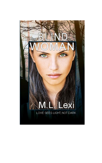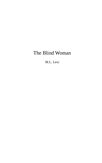# The Blind Woman

M.L. Lexi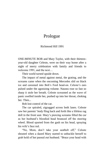## Prologue

#### Richmond Hill 1991

ONE-MINUTE BOB and Mary Taylor, with their thirteenyear-old daughter Celeste, were on their way home after a night of merry celebration with family and friends to welcome 1991, and the next…

Their world turned upside down.

The impact of metal against metal, the grating, and the screams came when the oncoming Mercedes slid on black ice and careened into Bob's Ford head-on. Celeste's ears pulsed under the agonizing volume. Nausea rose so fast so sharp it stole her breath. Celeste screamed as the wave of panic swelled inside her, pushed up into her throat, choking her. Then...

Bob lost control of the car.

The car spiraled, zigzagged across both lanes. Celeste saw her parents' body fling back and forth like a lifeless rag doll in the front seat. Mary's piercing screams filled the car as her husband's bloodied head bounced off the steering wheel. Blood spurted from the gash on his head, spraying his wife's face red.

"No, Mom, don't take your seatbelt off," Celeste shouted when a dazed Mary started to unbuckle herself to grab hold of her passed out husband. "Brace your head with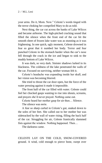your arms. Do it, Mom. Now." Celeste's words tinged with the terror choking her compelled Mary to do as told.

Next thing, the car cut across the banks of Lake Wilcox and became airborne. The high-pitched cracking sound that filled the silence when the front end of the car hit the smooth sheet of frozen lake water was as stunning as it was frightening. In one quick, ugly moment, Celeste drowned in fear so great that it numbed her body. Terror and fear punched Celeste in the stomach harder when the car's nose fell through the crack in the ice and began to sink to the muddy bottom of Lake Wilcox.

It was dark, so very dark. Sinister shadows lurked in its blackness. The coldness of the lake penetrated the walls of the car. Focused on surviving, neither woman felt it.

Celeste's headache was expanding inside her skull, and her vision was becoming blurred.

She tried to thrust the car door open, but the force of the water pressing against it made it impossible.

The front half of the car filled with water. Celeste could feel her chocked gasps wanting to rise into shouts, screams, and prayers she'd never prayed. Nothing came out.

Celeste heard her mother gasp for air then… Silence.

The silence was eerie.

A fear so sharp curled in Celeste's gut, snaked down to the soles of her feet. She called out to her mother but was sidetracked by the wall of water rising, filling the back half of the car. Struggling for air, Celeste frantically slammed fists against the window. Nothing happened. Then…

The darkness came.

CELESTE LAY ON THE COLD, SNOW-COVERED ground. A wind, cold enough to pierce bone, swept over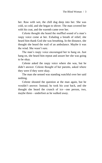her. Raw with wet, the chill dug deep into her. She was cold, so cold, and she began to shiver. The man covered her with his coat, and the warmth came over her.

Celeste thought she heard the muffled sound of a man's raspy voice come at her. Exhaling a breath of relief, she heard him thank God she was breathing. In the distance, she thought she heard the wail of an ambulance. Maybe it was the wind. She wasn't sure.

The man's raspy voice encouraged her to hang on. Just hang on, she heard him repeat and assure her she was going to be okay.

Celeste asked the raspy voice where she was, but he didn't answer. Celeste thought of her parents, asked where they were if they were okay.

The man she sensed was standing watchful over her said nothing.

Celeste shouted the question at the man again, but he wouldn't answer. Instead, he took his coat back, and she thought she heard the crunch of ice—one person, two, maybe three—underfoot as he walked away.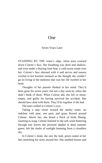### One

### Seven Years Later

STANDING BY THE water's edge, silent tears coursed down Celeste's face. Her breathing was short and shallow, and even under a blazing June heat, a cold sweat swept over her. Celeste's face sheened with it and nerves and nausea swirled in her knotted stomach as the thought she couldn't go on living in the darkness that was her life swirled in her head.

Thoughts of her parents flashed in her mind. They'd been gone for seven years, but not a day went by when she didn't think of them. When Celeste did, she felt so alone, empty, and guilty for having survived the accident. She should have died with them. They'd be together if she had.

The tears welled in Celeste's eyes.

Taking a step closer toward the murky water, air redolent with pine, wet peat, and grass flowed around Celeste. Above her, she heard a flock of birds flitting, tweeting in song. Celeste listened to the soft wind fluttering through tree leaves she pictured shaded in deep summer green, felt the shafts of sunlight beaming from a cloudless sky.

In Celeste's mind, she saw the lush, green carpet at her feet stretching for acres around her. She smelled horses and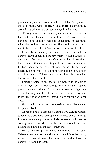grain and hay coming from the school's stable. She pictured the still, murky water of Heart Lake mirroring everything around it as tall clusters of reeds swayed in the wind.

Tears glimmered in her eyes, and Celeste covered her face with her hands. She would never get used to the darkness. She couldn't settle to visualizing in her mind what she couldn't see anymore. She would never—what was it the doctor called it?—conform to her new blind life.

It had been seven years since Celeste watched her parents' car plunged into the icy waters of Lake Wilcox to their death. Seven-years since Celeste, as the sole survivor, had to deal with the consuming guilt that corroded her soul. It had been seven-years of undergoing therapy and coaching on how to live in a blind world alone. It had been that long since Celeste was thrust into the complete blackness that was her life now.

Celeste wanted to see again. She wanted to be able to cast her eyes on the low rolling hills, enjoy the majestic pines that scented the air. She wanted to see the bright rays of the burning sun she felt on her skin, the blue sky, and follow the flight of birds she heard wildly chirping with her eyes.

Goddamnit, she wanted her eyesight back. She wanted her parents back.

Alone and in total darkness weren't how Celeste wanted to face the world when she opened her eyes every morning. It was a huge dark place with hidden obstacles, with voices coming out of nowhere, with beauty around her she couldn't see. She couldn't do it anymore.

Her palms damp, her heart hammering in her ears. Celeste drew in a breath and started to walk into the murky waters of Lake Wilcox—the same waters that took her parents' life and her sight.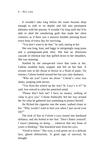It wouldn't take long before the water became deep enough to sink to its depths and fall into permanent darkness with her parents. It wouldn't be long until she'd be able to shed the smothering guilt that made her chest constrict, as if there was a massive boulder pressing down every hour of every day for surviving.

"You don't want to do that," he said, staring at her.

She was long, lean, and leggy in intriguingly snug jeans and a pomegranate-pink shirt. She had an illustrious cascade of chestnut hair that spilled down to her shoulders. She was stunning.

Startled by the unexpected voice that came at her, Celeste tumbled back, tripped, and fell on her butt. A scream rose in her throat to drown in a flood of panic. On instinct, Celeste looked around her but saw only darkness.

"Who are you? Leave me alone." Celeste's voice was shaky, jumping with nerves.

"You from the school up the way? St. Lucy's is it?" he said, low-voiced to calm her panicked mind.

"Please don't hurt me? I have no money, nothing of value to give you." Celeste frantically felt her way around her for what he gathered was something to protect herself.

He flicked the cigarette into the water, walked closer to her. "Why would I want to hurt you when I just saved your life?"

The look of fear in Celeste's eyes turned into hardened defiance, and she bolted to her feet. "Don't flatter yourself. I wasn't planning on doing … whatever that tiny brain of yours is thinking." She knuckled tears from her eyes.

"Good to know." Her eyes, a rich green set in a delicate face, glared defensively. A good sign of survival, he thought.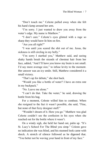"Don't touch me." Celeste pulled away when she felt his hand clamp around her arm.

"I'm sorry. I just wanted to draw you away from the water's edge. My name is Matthew."

"I don't care." Celeste's eyes glinted with a rage so sharp they would have lit him on fire.

"Are you all right?"

"I was until you scared the shit out of me. Jesus, the sickness is still circling in my belly."

"I'm sorry I startled you," Matthew said, and seeing shaky hands brush the strands of chestnut hair from her face, added, "And I'll have you know my brain is not small. I'd say more average size," to infuse levity to the moment. Her answer was an icy smile. Still, Matthew considered it a small victory.

"That's up for debate," she shot back.

"Would you like a bottle of water? I have an extra one in my backpack."

"No. Leave me alone."

"I can't do that. Take the water," he said, drawing the bottle from his bag.

For a moment, Celeste willed him to combust. When she resigned to the fact it wasn't possible, she said, "Fine, but none of that fizzy designer stuff."

"Wouldn't dream of it. Here you go." Matthew was glad Celeste couldn't see the confusion in his eyes when she reached out for the bottle where it wasn't.

On a windy sigh, she held her hand out, palm up. "It's St. Lucy's School For The Blind you simp." Celeste gave no indication she was blind, and his stunned look came with shock. A stretch of silence followed as he digested that. "You better not be waving your hand in front of my face."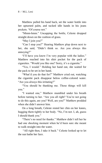Matthew pulled his hand back, set the water bottle into her upturned palm, and tucked idle hands in his jeans pockets. "Of course not."

"Mmm-hmm." Uncapping the bottle, Celeste dropped straight down on the cushion of grass.

"May I join you?"

"Can I stop you?" Hearing Matthew plop down next to her, she said, "Didn't think so. Are you always this annoying?"

"I'll have you know I'm very popular with the ladies." Matthew reached into his shirt pocket for the pack of cigarettes. "Would you like one? Sorry, it's a cigarette."

"Yes, I would." Holding her hand out, she waited for the pack to be set in her hand.

"What'd you do that for?" Matthew cried out, watching the cigarette pack disappear below coffee-colored water. "Are you always this irritating?"

"You should be thanking me. Those things will kill you."

"I wanted one," Matthew mumbled under his breath before turning to her. "Are you all right? You're not going to do this again, are you? Well, are you?" Matthew prodded when she didn't answer him.

On a long breath, Celeste rested her chin on her knees, hugging them tightly to her body. "No, I'm not. I, ah, guess I should thank you."

"There's no need for thanks." Matthew didn't tell her he had one shocking moment when he'd been sure she meant to walk straight into the water.

"All right then, I take it back." Celeste looked up to let the sun bathe her face.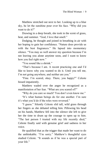Matthew stretched out next to her. Looking up to a blue sky, he let the sunshine pour over his face. "Why did you want to do it?"

Drawing in a deep breath, she took in the scent of grass, heat, and summer. "God, I love that smell."

Dodging, he thought and joined in breathing in air with her hoping to gain her confidence. "Nature does provide us with the best fragrances." He lapsed into momentary silence. "You may as well answer my question because I'm not leaving you alone anytime soon, and I want to know how you feel right now."

"You sound like a shrink."

"That's because I am. A recent practicing one and I'd like to know why you wanted to do it. Until you tell me, I'm not going anywhere, and neither are you."

"Fine. I'm scared, okay. There, you happy?" Celeste hissed impatiently.

Matthew waded over the anger he recognized as a manifestation of her fear. "What are you scared of?"

"Why do you care so much? You don't even know me."

"It's what human beings do for one another. I'm sure it's what you'd do if the roles were reversed."

"I guess." Silently Celeste slid tall, wild grass through her fingers as she debated telling him. Pillowing his head on his hands, Matthew fell into the silence she left to give her the time to drum up the courage to open up to him. "The last person I trusted with my life recently died," Celeste finally said with genuine grief and sadness in her voice.

He qualified that as the trigger that made her want to do the unthinkable. "I'm sorry." Matthew's thoughtful eyes studied Celeste. "It sounds as if he was a special part of your life."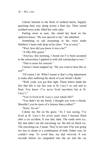Celeste listened to the flock of mallard ducks, happily quacking their way along across a blue sky. Their sound soothed every ache, filled her with calm.

Feeling more at ease, she rested her head on her updrawn knees. "He was special to me," she admitted.

Something so sad resonating in her voice made Matthew's heart sink deep in his chest. "I'm so sorry."

"Wait, how did you know it was a he?"

"A fifty-fifty guess."

"Anyway, this morning, I found out I've been accepted to the universities I applied to with full scholarship to two."

"That is cause for concern."

Celeste's head snapped up. "Do you want to hear this or not?"

"Of course I do. What I meant is that's a big adjustment to make after suffering the shock of your friend's death."

"Well, yeah, you got that right. Those letters made the fact that this is my last year at St. Lucy's so real and so final. You know. I've never lived anywhere but at St. Lucy's."

"You've lived at St. Lucy's your whole life?"

"You didn't let me finish. I thought you were a shrink. Shouldn't you be more of a listener than a talker?"

"Sorry. Go on."

Celeste lay flat on the grass. "As I was saying, I've lived at St. Lucy's for seven years since I became blind after a car accident. It was late, dark. The roads were icy. My dad didn't see the oncoming car. He slid on black ice. The oncoming car, I mean. They're not sure if he was going too fast or drunk or a combination of both. Either way, he couldn't stop. To avoid him, my dad swerved. It was seconds before we catapulted into the air and the car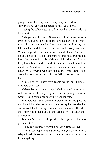plunged into this very lake. Everything seemed to move in slow motion, yet it all happened so fast, you know."

Seeing the solitary tear trickle down her cheek made his heart hurt.

"My parents drowned. Someone, I don't know who or even how, pulled me out of the sinking car. From what I was told, the paramedics found me unconscious by the lake's edge, and I didn't come to until two years later. When I slipped out of my coma, I couldn't see. They went on and on about retinal detachment, and head trauma and lots of other medical gibberish were lobbed at me. Bottom line, I was blind, and I couldn't remember much about the incident." She'd never forget the injustice of being mowed down by a coward who left the scene, who didn't stick around to own up to his mistake. Who took two innocent lives.

"I'm so sorry." They were feeble words, but it was all Matthew could say.

Celeste let out a bitter laugh. "Yeah, so am I. Worse part is I can't remember anything after the car plunged into the water. I can't remember anything," she repeated.

Matthew was glad Celeste allowed him to see past the aloof shell into the real woman, and to say he was shocked and moved by her story was an understatement. He tilted the water bottle back and drank deep to wet a sandpaperdry mouth.

Matthew's gaze dropped. "Is your blindness permanent?"

"They're not sure. It may not be. Only time will tell."

"Don't lose hope. You survived, and you seem to have adapted well. It seems to me you can make your way back from anything."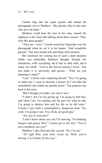Celeste dug into her jeans pocket and turned the photograph over to Matthew. "My parents, they're the ones who give me hope."

Matthew could hear the loss in her tone, sensed the tightness in her chest that talking about them caused. "They look like great people."

"They are—were." Celeste traced her fingertips over the photograph when he set it in her hands. "And wonderful parents." Her eyes turned soft and damp with emotion.

Her resilience for coming out of such a dark situation whole was admirable, Matthew thought. Despite her limitations, with everything she'd had to deal with, she'd come out whole. "You're the bravest person I know. You can make it to university and pursue… What are you planning to study?"

"Law," Celeste said, surprising herself. "Yes, I'm going to study law. I want to become a lawyer so I can take the sonofabitch who killed my parents down." The purpose was back in her eyes.

"But I thought you didn't see who it was."

"I didn't, but I'm not giving up. I'm going to find him, and when I do, I'm making sure he pays for what he did. I'm going to destroy him and his life as he did mine." Celeste's eyes held a contemplative, dangerous look. "So, yeah, I'm going to uni. You, Slick, are good juju."

"Ah, you're welcome?"

"I don't know about you, but I'm starving. I'm thinking burgers and greasy fries." Celeste got to her feet. "You're not a murderer, are you?"

Matthew's lips, firm and full, curved. "No, I'm not."

"All right then, your treat. Come on, Slick, you're driving. I'm Celeste, by the way."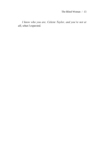*I know who you are, Celeste Taylor, and you're not at all, what I expected.*